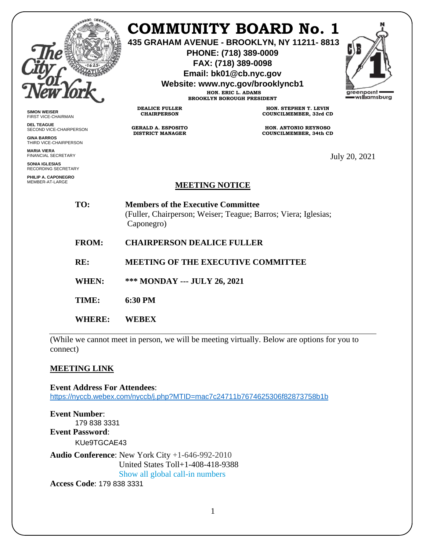

## **COMMUNITY BOARD No. 1**

**435 GRAHAM AVENUE - BROOKLYN, NY 11211- 8813**

**PHONE: (718) 389-0009 FAX: (718) 389-0098**

**Email: bk01@cb.nyc.gov**

**Website: www.nyc.gov/brooklyncb1**

**HON. ERIC L. ADAMS BROOKLYN BOROUGH PRESIDENT**



**SIMON WEISER** FIRST VICE-CHAIRMAN

**DEL TEAGUE** SECOND VICE-CHAIRPERSON

**GINA BARROS** THIRD VICE-CHAIRPERSON

**MARIA VIERA** FINANCIAL SECRETARY

**SONIA IGLESIAS** RECORDING SECRETARY

**PHILIP A. CAPONEGRO** MEMBER-AT-LARGE

**DEALICE FULLER CHAIRPERSON**

**GERALD A. ESPOSITO DISTRICT MANAGER**

**HON. STEPHEN T. LEVIN COUNCILMEMBER, 33rd CD**

**HON. ANTONIO REYNOSO COUNCILMEMBER, 34th CD**

July 20, 2021

## **MEETING NOTICE**

**TO: Members of the Executive Committee**  (Fuller, Chairperson; Weiser; Teague; Barros; Viera; Iglesias; Caponegro)

- **FROM: CHAIRPERSON DEALICE FULLER**
- **RE: MEETING OF THE EXECUTIVE COMMITTEE**
- **WHEN: \*\*\* MONDAY --- JULY 26, 2021**
- **TIME: 6:30 PM**
- **WHERE: WEBEX**

(While we cannot meet in person, we will be meeting virtually. Below are options for you to connect)

## **MEETING LINK**

**Event Address For Attendees**: <https://nyccb.webex.com/nyccb/j.php?MTID=mac7c24711b7674625306f82873758b1b>

**Event Number**: 179 838 3331 **Event Password**: KUe9TGCAE43

**Audio Conference**: New York City +1-646-992-2010 United States Toll+1-408-418-9388 Show all global call-in numbers

**Access Code**: 179 838 3331